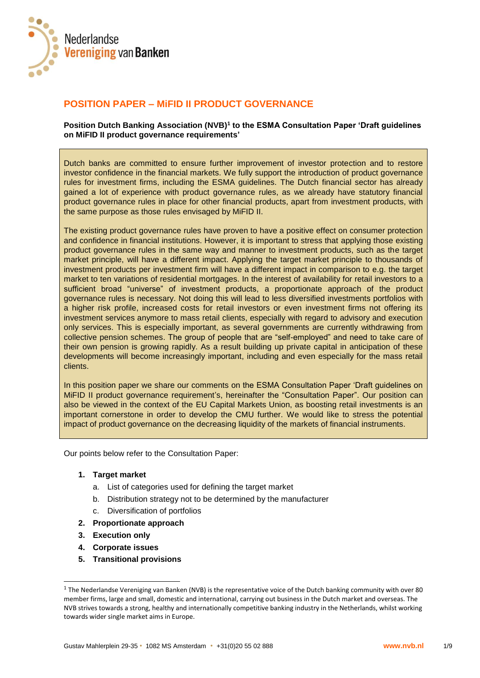

# **POSITION PAPER – MiFID II PRODUCT GOVERNANCE**

**Position Dutch Banking Association (NVB)<sup>1</sup> to the ESMA Consultation Paper 'Draft guidelines on MiFID II product governance requirements'**

Dutch banks are committed to ensure further improvement of investor protection and to restore investor confidence in the financial markets. We fully support the introduction of product governance rules for investment firms, including the ESMA guidelines. The Dutch financial sector has already gained a lot of experience with product governance rules, as we already have statutory financial product governance rules in place for other financial products, apart from investment products, with the same purpose as those rules envisaged by MiFID II.

The existing product governance rules have proven to have a positive effect on consumer protection and confidence in financial institutions. However, it is important to stress that applying those existing product governance rules in the same way and manner to investment products, such as the target market principle, will have a different impact. Applying the target market principle to thousands of investment products per investment firm will have a different impact in comparison to e.g. the target market to ten variations of residential mortgages. In the interest of availability for retail investors to a sufficient broad "universe" of investment products, a proportionate approach of the product governance rules is necessary. Not doing this will lead to less diversified investments portfolios with a higher risk profile, increased costs for retail investors or even investment firms not offering its investment services anymore to mass retail clients, especially with regard to advisory and execution only services. This is especially important, as several governments are currently withdrawing from collective pension schemes. The group of people that are "self-employed" and need to take care of their own pension is growing rapidly. As a result building up private capital in anticipation of these developments will become increasingly important, including and even especially for the mass retail clients.

In this position paper we share our comments on the ESMA Consultation Paper 'Draft guidelines on MiFID II product governance requirement's, hereinafter the "Consultation Paper". Our position can also be viewed in the context of the EU Capital Markets Union, as boosting retail investments is an important cornerstone in order to develop the CMU further. We would like to stress the potential impact of product governance on the decreasing liquidity of the markets of financial instruments.

Our points below refer to the Consultation Paper:

#### **1. Target market**

- a. List of categories used for defining the target market
- b. Distribution strategy not to be determined by the manufacturer
- c. Diversification of portfolios
- **2. Proportionate approach**
- **3. Execution only**

l

- **4. Corporate issues**
- **5. Transitional provisions**

<sup>&</sup>lt;sup>1</sup> The Nederlandse Vereniging van Banken (NVB) is the representative voice of the Dutch banking community with over 80 member firms, large and small, domestic and international, carrying out business in the Dutch market and overseas. The NVB strives towards a strong, healthy and internationally competitive banking industry in the Netherlands, whilst working towards wider single market aims in Europe.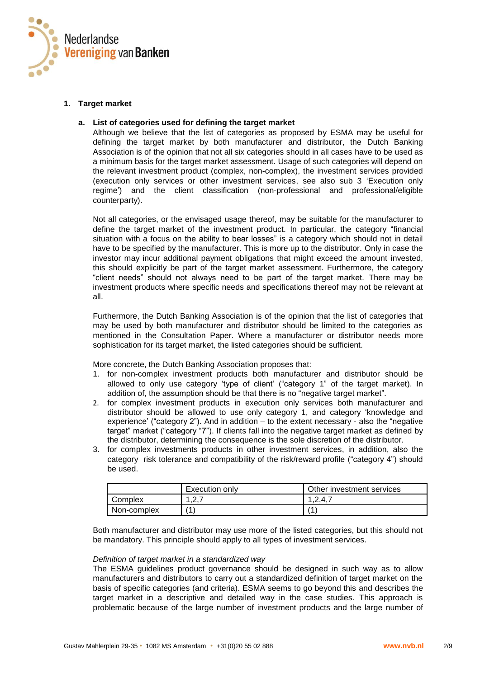

## **1. Target market**

#### **a. List of categories used for defining the target market**

Although we believe that the list of categories as proposed by ESMA may be useful for defining the target market by both manufacturer and distributor, the Dutch Banking Association is of the opinion that not all six categories should in all cases have to be used as a minimum basis for the target market assessment. Usage of such categories will depend on the relevant investment product (complex, non-complex), the investment services provided (execution only services or other investment services, see also sub 3 'Execution only regime') and the client classification (non-professional and professional/eligible counterparty).

Not all categories, or the envisaged usage thereof, may be suitable for the manufacturer to define the target market of the investment product. In particular, the category "financial situation with a focus on the ability to bear losses" is a category which should not in detail have to be specified by the manufacturer. This is more up to the distributor. Only in case the investor may incur additional payment obligations that might exceed the amount invested, this should explicitly be part of the target market assessment. Furthermore, the category "client needs" should not always need to be part of the target market. There may be investment products where specific needs and specifications thereof may not be relevant at all.

Furthermore, the Dutch Banking Association is of the opinion that the list of categories that may be used by both manufacturer and distributor should be limited to the categories as mentioned in the Consultation Paper. Where a manufacturer or distributor needs more sophistication for its target market, the listed categories should be sufficient.

More concrete, the Dutch Banking Association proposes that:

- 1. for non-complex investment products both manufacturer and distributor should be allowed to only use category 'type of client' ("category 1" of the target market). In addition of, the assumption should be that there is no "negative target market".
- 2. for complex investment products in execution only services both manufacturer and distributor should be allowed to use only category 1, and category 'knowledge and experience' ("category 2"). And in addition – to the extent necessary - also the "negative target" market ("category "7"). If clients fall into the negative target market as defined by the distributor, determining the consequence is the sole discretion of the distributor.
- 3. for complex investments products in other investment services, in addition, also the category risk tolerance and compatibility of the risk/reward profile ("category 4") should be used.

|             | Execution only | Other investment services |
|-------------|----------------|---------------------------|
| Complex     | ົດ ສ<br>، ک    | 1.2.4.7                   |
| Non-complex | 7и             | и                         |

Both manufacturer and distributor may use more of the listed categories, but this should not be mandatory. This principle should apply to all types of investment services.

#### *Definition of target market in a standardized way*

The ESMA guidelines product governance should be designed in such way as to allow manufacturers and distributors to carry out a standardized definition of target market on the basis of specific categories (and criteria). ESMA seems to go beyond this and describes the target market in a descriptive and detailed way in the case studies. This approach is problematic because of the large number of investment products and the large number of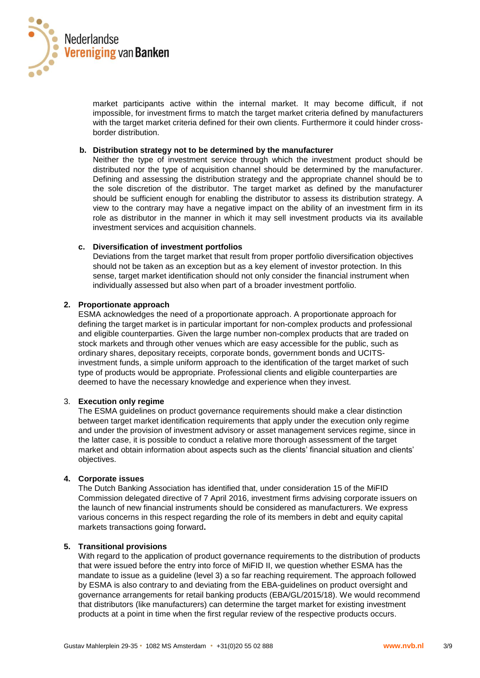

market participants active within the internal market. It may become difficult, if not impossible, for investment firms to match the target market criteria defined by manufacturers with the target market criteria defined for their own clients. Furthermore it could hinder crossborder distribution.

#### **b. Distribution strategy not to be determined by the manufacturer**

Neither the type of investment service through which the investment product should be distributed nor the type of acquisition channel should be determined by the manufacturer. Defining and assessing the distribution strategy and the appropriate channel should be to the sole discretion of the distributor. The target market as defined by the manufacturer should be sufficient enough for enabling the distributor to assess its distribution strategy. A view to the contrary may have a negative impact on the ability of an investment firm in its role as distributor in the manner in which it may sell investment products via its available investment services and acquisition channels.

#### **c. Diversification of investment portfolios**

Deviations from the target market that result from proper portfolio diversification objectives should not be taken as an exception but as a key element of investor protection. In this sense, target market identification should not only consider the financial instrument when individually assessed but also when part of a broader investment portfolio.

## **2. Proportionate approach**

ESMA acknowledges the need of a proportionate approach. A proportionate approach for defining the target market is in particular important for non-complex products and professional and eligible counterparties. Given the large number non-complex products that are traded on stock markets and through other venues which are easy accessible for the public, such as ordinary shares, depositary receipts, corporate bonds, government bonds and UCITSinvestment funds, a simple uniform approach to the identification of the target market of such type of products would be appropriate. Professional clients and eligible counterparties are deemed to have the necessary knowledge and experience when they invest.

#### 3. **Execution only regime**

The ESMA guidelines on product governance requirements should make a clear distinction between target market identification requirements that apply under the execution only regime and under the provision of investment advisory or asset management services regime, since in the latter case, it is possible to conduct a relative more thorough assessment of the target market and obtain information about aspects such as the clients' financial situation and clients' objectives.

#### **4. Corporate issues**

The Dutch Banking Association has identified that, under consideration 15 of the MiFID Commission delegated directive of 7 April 2016, investment firms advising corporate issuers on the launch of new financial instruments should be considered as manufacturers. We express various concerns in this respect regarding the role of its members in debt and equity capital markets transactions going forward**.** 

#### **5. Transitional provisions**

With regard to the application of product governance requirements to the distribution of products that were issued before the entry into force of MiFID II, we question whether ESMA has the mandate to issue as a guideline (level 3) a so far reaching requirement. The approach followed by ESMA is also contrary to and deviating from the EBA-guidelines on product oversight and governance arrangements for retail banking products (EBA/GL/2015/18). We would recommend that distributors (like manufacturers) can determine the target market for existing investment products at a point in time when the first regular review of the respective products occurs.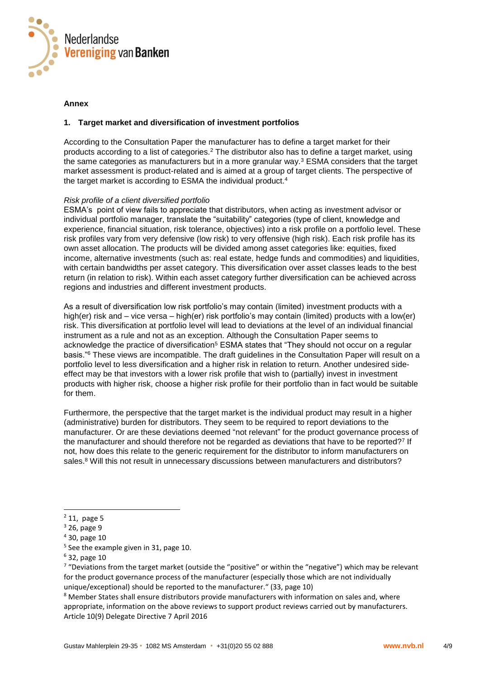

#### **Annex**

## **1. Target market and diversification of investment portfolios**

According to the Consultation Paper the manufacturer has to define a target market for their products according to a list of categories.<sup>2</sup> The distributor also has to define a target market, using the same categories as manufacturers but in a more granular way.<sup>3</sup> ESMA considers that the target market assessment is product-related and is aimed at a group of target clients. The perspective of the target market is according to ESMA the individual product.<sup>4</sup>

## *Risk profile of a client diversified portfolio*

ESMA's point of view fails to appreciate that distributors, when acting as investment advisor or individual portfolio manager, translate the "suitability" categories (type of client, knowledge and experience, financial situation, risk tolerance, objectives) into a risk profile on a portfolio level. These risk profiles vary from very defensive (low risk) to very offensive (high risk). Each risk profile has its own asset allocation. The products will be divided among asset categories like: equities, fixed income, alternative investments (such as: real estate, hedge funds and commodities) and liquidities, with certain bandwidths per asset category. This diversification over asset classes leads to the best return (in relation to risk). Within each asset category further diversification can be achieved across regions and industries and different investment products.

As a result of diversification low risk portfolio's may contain (limited) investment products with a high(er) risk and – vice versa – high(er) risk portfolio's may contain (limited) products with a low(er) risk. This diversification at portfolio level will lead to deviations at the level of an individual financial instrument as a rule and not as an exception. Although the Consultation Paper seems to acknowledge the practice of diversification<sup>5</sup> ESMA states that "They should not occur on a regular basis."<sup>6</sup> These views are incompatible. The draft guidelines in the Consultation Paper will result on a portfolio level to less diversification and a higher risk in relation to return. Another undesired sideeffect may be that investors with a lower risk profile that wish to (partially) invest in investment products with higher risk, choose a higher risk profile for their portfolio than in fact would be suitable for them.

Furthermore, the perspective that the target market is the individual product may result in a higher (administrative) burden for distributors. They seem to be required to report deviations to the manufacturer. Or are these deviations deemed "not relevant" for the product governance process of the manufacturer and should therefore not be regarded as deviations that have to be reported?<sup>7</sup> If not, how does this relate to the generic requirement for the distributor to inform manufacturers on sales.<sup>8</sup> Will this not result in unnecessary discussions between manufacturers and distributors?

l

<sup>7</sup> "Deviations from the target market (outside the "positive" or within the "negative") which may be relevant for the product governance process of the manufacturer (especially those which are not individually unique/exceptional) should be reported to the manufacturer." (33, page 10)

<sup>8</sup> Member States shall ensure distributors provide manufacturers with information on sales and, where appropriate, information on the above reviews to support product reviews carried out by manufacturers. Article 10(9) Delegate Directive 7 April 2016

 $<sup>2</sup>$  11, page 5</sup>

<sup>3</sup> 26, page 9

<sup>4</sup> 30, page 10

<sup>&</sup>lt;sup>5</sup> See the example given in 31, page 10.

<sup>6</sup> 32, page 10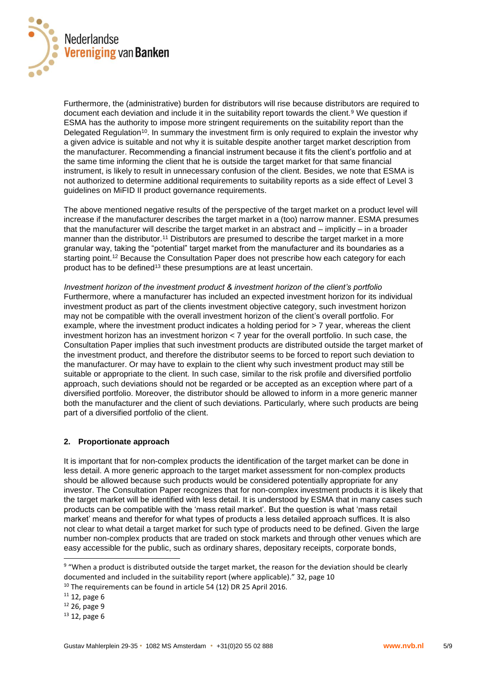

Furthermore, the (administrative) burden for distributors will rise because distributors are required to document each deviation and include it in the suitability report towards the client.<sup>9</sup> We question if ESMA has the authority to impose more stringent requirements on the suitability report than the Delegated Regulation<sup>10</sup>. In summary the investment firm is only reguired to explain the investor why a given advice is suitable and not why it is suitable despite another target market description from the manufacturer. Recommending a financial instrument because it fits the client's portfolio and at the same time informing the client that he is outside the target market for that same financial instrument, is likely to result in unnecessary confusion of the client. Besides, we note that ESMA is not authorized to determine additional requirements to suitability reports as a side effect of Level 3 guidelines on MiFID II product governance requirements.

The above mentioned negative results of the perspective of the target market on a product level will increase if the manufacturer describes the target market in a (too) narrow manner. ESMA presumes that the manufacturer will describe the target market in an abstract and – implicitly – in a broader manner than the distributor.<sup>11</sup> Distributors are presumed to describe the target market in a more granular way, taking the "potential" target market from the manufacturer and its boundaries as a starting point.<sup>12</sup> Because the Consultation Paper does not prescribe how each category for each product has to be defined<sup>13</sup> these presumptions are at least uncertain.

*Investment horizon of the investment product & investment horizon of the client's portfolio* Furthermore, where a manufacturer has included an expected investment horizon for its individual investment product as part of the clients investment objective category, such investment horizon may not be compatible with the overall investment horizon of the client's overall portfolio. For example, where the investment product indicates a holding period for > 7 year, whereas the client investment horizon has an investment horizon < 7 year for the overall portfolio. In such case, the Consultation Paper implies that such investment products are distributed outside the target market of the investment product, and therefore the distributor seems to be forced to report such deviation to the manufacturer. Or may have to explain to the client why such investment product may still be suitable or appropriate to the client. In such case, similar to the risk profile and diversified portfolio approach, such deviations should not be regarded or be accepted as an exception where part of a diversified portfolio. Moreover, the distributor should be allowed to inform in a more generic manner both the manufacturer and the client of such deviations. Particularly, where such products are being part of a diversified portfolio of the client.

# **2. Proportionate approach**

It is important that for non-complex products the identification of the target market can be done in less detail. A more generic approach to the target market assessment for non-complex products should be allowed because such products would be considered potentially appropriate for any investor. The Consultation Paper recognizes that for non-complex investment products it is likely that the target market will be identified with less detail. It is understood by ESMA that in many cases such products can be compatible with the 'mass retail market'. But the question is what 'mass retail market' means and therefor for what types of products a less detailed approach suffices. It is also not clear to what detail a target market for such type of products need to be defined. Given the large number non-complex products that are traded on stock markets and through other venues which are easy accessible for the public, such as ordinary shares, depositary receipts, corporate bonds,

l

<sup>&</sup>lt;sup>9</sup> "When a product is distributed outside the target market, the reason for the deviation should be clearly documented and included in the suitability report (where applicable)." 32, page 10

<sup>&</sup>lt;sup>10</sup> The requirements can be found in article 54 (12) DR 25 April 2016.

 $11$  12, page 6

<sup>12</sup> 26, page 9

 $13$  12, page 6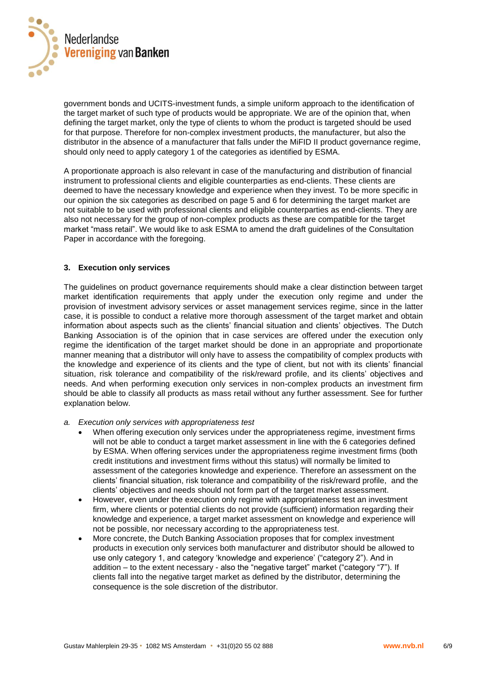

government bonds and UCITS-investment funds, a simple uniform approach to the identification of the target market of such type of products would be appropriate. We are of the opinion that, when defining the target market, only the type of clients to whom the product is targeted should be used for that purpose. Therefore for non-complex investment products, the manufacturer, but also the distributor in the absence of a manufacturer that falls under the MiFID II product governance regime, should only need to apply category 1 of the categories as identified by ESMA.

A proportionate approach is also relevant in case of the manufacturing and distribution of financial instrument to professional clients and eligible counterparties as end-clients. These clients are deemed to have the necessary knowledge and experience when they invest. To be more specific in our opinion the six categories as described on page 5 and 6 for determining the target market are not suitable to be used with professional clients and eligible counterparties as end-clients. They are also not necessary for the group of non-complex products as these are compatible for the target market "mass retail". We would like to ask ESMA to amend the draft guidelines of the Consultation Paper in accordance with the foregoing.

## **3. Execution only services**

The guidelines on product governance requirements should make a clear distinction between target market identification requirements that apply under the execution only regime and under the provision of investment advisory services or asset management services regime, since in the latter case, it is possible to conduct a relative more thorough assessment of the target market and obtain information about aspects such as the clients' financial situation and clients' objectives. The Dutch Banking Association is of the opinion that in case services are offered under the execution only regime the identification of the target market should be done in an appropriate and proportionate manner meaning that a distributor will only have to assess the compatibility of complex products with the knowledge and experience of its clients and the type of client, but not with its clients' financial situation, risk tolerance and compatibility of the risk/reward profile, and its clients' objectives and needs. And when performing execution only services in non-complex products an investment firm should be able to classify all products as mass retail without any further assessment. See for further explanation below.

- *a. Execution only services with appropriateness test* 
	- When offering execution only services under the appropriateness regime, investment firms will not be able to conduct a target market assessment in line with the 6 categories defined by ESMA. When offering services under the appropriateness regime investment firms (both credit institutions and investment firms without this status) will normally be limited to assessment of the categories knowledge and experience. Therefore an assessment on the clients' financial situation, risk tolerance and compatibility of the risk/reward profile, and the clients' objectives and needs should not form part of the target market assessment.
	- However, even under the execution only regime with appropriateness test an investment firm, where clients or potential clients do not provide (sufficient) information regarding their knowledge and experience, a target market assessment on knowledge and experience will not be possible, nor necessary according to the appropriateness test.
	- More concrete, the Dutch Banking Association proposes that for complex investment products in execution only services both manufacturer and distributor should be allowed to use only category 1, and category 'knowledge and experience' ("category 2"). And in addition – to the extent necessary - also the "negative target" market ("category "7"). If clients fall into the negative target market as defined by the distributor, determining the consequence is the sole discretion of the distributor.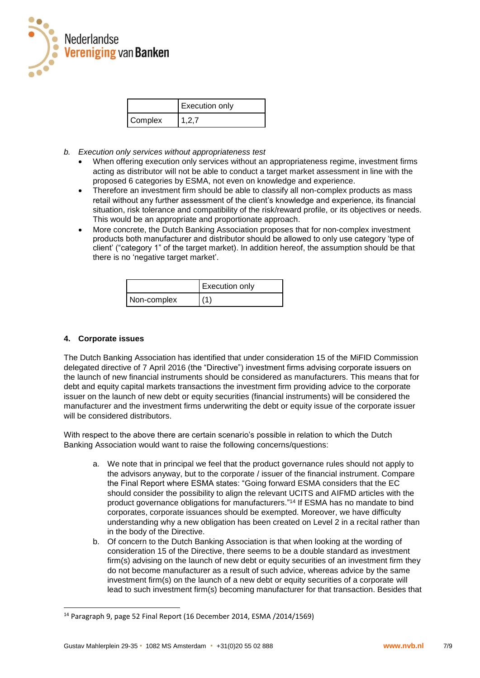

|         | <b>Execution only</b> |
|---------|-----------------------|
| Complex | 127                   |

- *b. Execution only services without appropriateness test*
	- When offering execution only services without an appropriateness regime, investment firms acting as distributor will not be able to conduct a target market assessment in line with the proposed 6 categories by ESMA, not even on knowledge and experience.
	- Therefore an investment firm should be able to classify all non-complex products as mass retail without any further assessment of the client's knowledge and experience, its financial situation, risk tolerance and compatibility of the risk/reward profile, or its objectives or needs. This would be an appropriate and proportionate approach.
	- More concrete, the Dutch Banking Association proposes that for non-complex investment products both manufacturer and distributor should be allowed to only use category 'type of client' ("category 1" of the target market). In addition hereof, the assumption should be that there is no 'negative target market'.

|             | <b>Execution only</b> |
|-------------|-----------------------|
| Non-complex | (1)                   |

## **4. Corporate issues**

l

The Dutch Banking Association has identified that under consideration 15 of the MiFID Commission delegated directive of 7 April 2016 (the "Directive") investment firms advising corporate issuers on the launch of new financial instruments should be considered as manufacturers. This means that for debt and equity capital markets transactions the investment firm providing advice to the corporate issuer on the launch of new debt or equity securities (financial instruments) will be considered the manufacturer and the investment firms underwriting the debt or equity issue of the corporate issuer will be considered distributors.

With respect to the above there are certain scenario's possible in relation to which the Dutch Banking Association would want to raise the following concerns/questions:

- a. We note that in principal we feel that the product governance rules should not apply to the advisors anyway, but to the corporate / issuer of the financial instrument. Compare the Final Report where ESMA states: "Going forward ESMA considers that the EC should consider the possibility to align the relevant UCITS and AIFMD articles with the product governance obligations for manufacturers." <sup>14</sup> If ESMA has no mandate to bind corporates, corporate issuances should be exempted. Moreover, we have difficulty understanding why a new obligation has been created on Level 2 in a recital rather than in the body of the Directive.
- b. Of concern to the Dutch Banking Association is that when looking at the wording of consideration 15 of the Directive, there seems to be a double standard as investment firm(s) advising on the launch of new debt or equity securities of an investment firm they do not become manufacturer as a result of such advice, whereas advice by the same investment firm(s) on the launch of a new debt or equity securities of a corporate will lead to such investment firm(s) becoming manufacturer for that transaction. Besides that

<sup>14</sup> Paragraph 9, page 52 Final Report (16 December 2014, ESMA /2014/1569)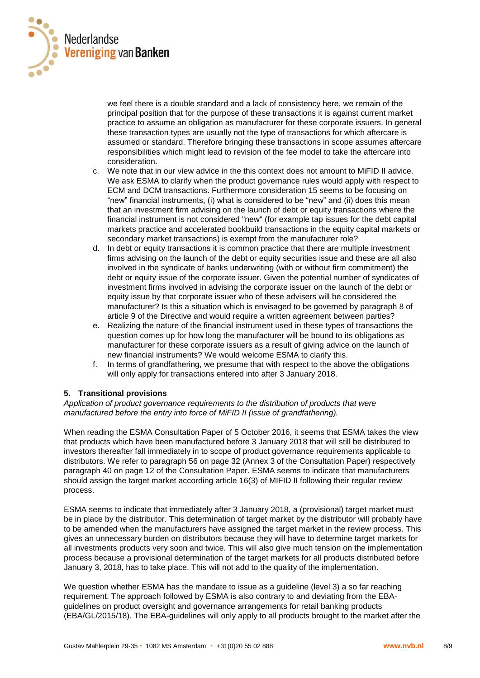

we feel there is a double standard and a lack of consistency here, we remain of the principal position that for the purpose of these transactions it is against current market practice to assume an obligation as manufacturer for these corporate issuers. In general these transaction types are usually not the type of transactions for which aftercare is assumed or standard. Therefore bringing these transactions in scope assumes aftercare responsibilities which might lead to revision of the fee model to take the aftercare into consideration.

- c. We note that in our view advice in the this context does not amount to MiFID II advice. We ask ESMA to clarify when the product governance rules would apply with respect to ECM and DCM transactions. Furthermore consideration 15 seems to be focusing on "new" financial instruments, (i) what is considered to be "new" and (ii) does this mean that an investment firm advising on the launch of debt or equity transactions where the financial instrument is not considered "new" (for example tap issues for the debt capital markets practice and accelerated bookbuild transactions in the equity capital markets or secondary market transactions) is exempt from the manufacturer role?
- d. In debt or equity transactions it is common practice that there are multiple investment firms advising on the launch of the debt or equity securities issue and these are all also involved in the syndicate of banks underwriting (with or without firm commitment) the debt or equity issue of the corporate issuer. Given the potential number of syndicates of investment firms involved in advising the corporate issuer on the launch of the debt or equity issue by that corporate issuer who of these advisers will be considered the manufacturer? Is this a situation which is envisaged to be governed by paragraph 8 of article 9 of the Directive and would require a written agreement between parties?
- e. Realizing the nature of the financial instrument used in these types of transactions the question comes up for how long the manufacturer will be bound to its obligations as manufacturer for these corporate issuers as a result of giving advice on the launch of new financial instruments? We would welcome ESMA to clarify this.
- f. In terms of grandfathering, we presume that with respect to the above the obligations will only apply for transactions entered into after 3 January 2018.

# **5. Transitional provisions**

*Application of product governance requirements to the distribution of products that were manufactured before the entry into force of MiFID II (issue of grandfathering).*

When reading the ESMA Consultation Paper of 5 October 2016, it seems that ESMA takes the view that products which have been manufactured before 3 January 2018 that will still be distributed to investors thereafter fall immediately in to scope of product governance requirements applicable to distributors. We refer to paragraph 56 on page 32 (Annex 3 of the Consultation Paper) respectively paragraph 40 on page 12 of the Consultation Paper. ESMA seems to indicate that manufacturers should assign the target market according article 16(3) of MIFID II following their regular review process.

ESMA seems to indicate that immediately after 3 January 2018, a (provisional) target market must be in place by the distributor. This determination of target market by the distributor will probably have to be amended when the manufacturers have assigned the target market in the review process. This gives an unnecessary burden on distributors because they will have to determine target markets for all investments products very soon and twice. This will also give much tension on the implementation process because a provisional determination of the target markets for all products distributed before January 3, 2018, has to take place. This will not add to the quality of the implementation.

We question whether ESMA has the mandate to issue as a quideline (level 3) a so far reaching requirement. The approach followed by ESMA is also contrary to and deviating from the EBAguidelines on product oversight and governance arrangements for retail banking products (EBA/GL/2015/18). The EBA-guidelines will only apply to all products brought to the market after the